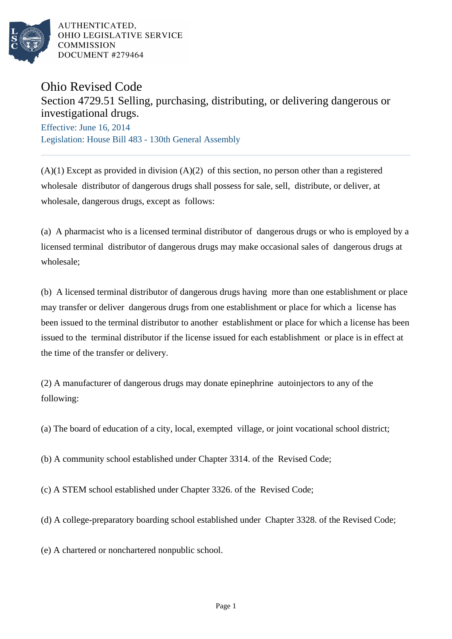

AUTHENTICATED. OHIO LEGISLATIVE SERVICE **COMMISSION** DOCUMENT #279464

## Ohio Revised Code

## Section 4729.51 Selling, purchasing, distributing, or delivering dangerous or investigational drugs.

Effective: June 16, 2014 Legislation: House Bill 483 - 130th General Assembly

 $(A)(1)$  Except as provided in division  $(A)(2)$  of this section, no person other than a registered wholesale distributor of dangerous drugs shall possess for sale, sell, distribute, or deliver, at wholesale, dangerous drugs, except as follows:

(a) A pharmacist who is a licensed terminal distributor of dangerous drugs or who is employed by a licensed terminal distributor of dangerous drugs may make occasional sales of dangerous drugs at wholesale;

(b) A licensed terminal distributor of dangerous drugs having more than one establishment or place may transfer or deliver dangerous drugs from one establishment or place for which a license has been issued to the terminal distributor to another establishment or place for which a license has been issued to the terminal distributor if the license issued for each establishment or place is in effect at the time of the transfer or delivery.

(2) A manufacturer of dangerous drugs may donate epinephrine autoinjectors to any of the following:

(a) The board of education of a city, local, exempted village, or joint vocational school district;

(b) A community school established under Chapter 3314. of the Revised Code;

(c) A STEM school established under Chapter 3326. of the Revised Code;

(d) A college-preparatory boarding school established under Chapter 3328. of the Revised Code;

(e) A chartered or nonchartered nonpublic school.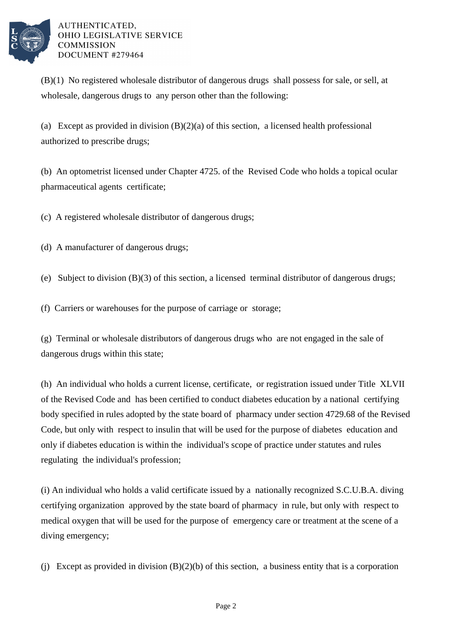

AUTHENTICATED, OHIO LEGISLATIVE SERVICE **COMMISSION** DOCUMENT #279464

(B)(1) No registered wholesale distributor of dangerous drugs shall possess for sale, or sell, at wholesale, dangerous drugs to any person other than the following:

(a) Except as provided in division  $(B)(2)(a)$  of this section, a licensed health professional authorized to prescribe drugs;

(b) An optometrist licensed under Chapter 4725. of the Revised Code who holds a topical ocular pharmaceutical agents certificate;

(c) A registered wholesale distributor of dangerous drugs;

- (d) A manufacturer of dangerous drugs;
- (e) Subject to division (B)(3) of this section, a licensed terminal distributor of dangerous drugs;
- (f) Carriers or warehouses for the purpose of carriage or storage;

(g) Terminal or wholesale distributors of dangerous drugs who are not engaged in the sale of dangerous drugs within this state;

(h) An individual who holds a current license, certificate, or registration issued under Title XLVII of the Revised Code and has been certified to conduct diabetes education by a national certifying body specified in rules adopted by the state board of pharmacy under section 4729.68 of the Revised Code, but only with respect to insulin that will be used for the purpose of diabetes education and only if diabetes education is within the individual's scope of practice under statutes and rules regulating the individual's profession;

(i) An individual who holds a valid certificate issued by a nationally recognized S.C.U.B.A. diving certifying organization approved by the state board of pharmacy in rule, but only with respect to medical oxygen that will be used for the purpose of emergency care or treatment at the scene of a diving emergency;

(j) Except as provided in division (B)(2)(b) of this section, a business entity that is a corporation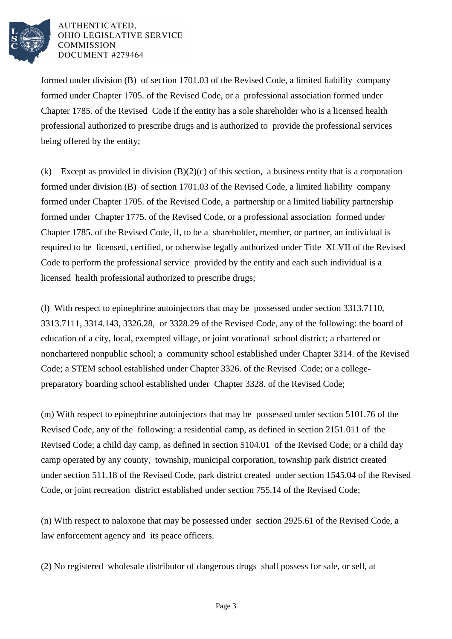

AUTHENTICATED. OHIO LEGISLATIVE SERVICE **COMMISSION** DOCUMENT #279464

formed under division (B) of section 1701.03 of the Revised Code, a limited liability company formed under Chapter 1705. of the Revised Code, or a professional association formed under Chapter 1785. of the Revised Code if the entity has a sole shareholder who is a licensed health professional authorized to prescribe drugs and is authorized to provide the professional services being offered by the entity;

(k) Except as provided in division (B)(2)(c) of this section, a business entity that is a corporation formed under division (B) of section 1701.03 of the Revised Code, a limited liability company formed under Chapter 1705. of the Revised Code, a partnership or a limited liability partnership formed under Chapter 1775. of the Revised Code, or a professional association formed under Chapter 1785. of the Revised Code, if, to be a shareholder, member, or partner, an individual is required to be licensed, certified, or otherwise legally authorized under Title XLVII of the Revised Code to perform the professional service provided by the entity and each such individual is a licensed health professional authorized to prescribe drugs;

(l) With respect to epinephrine autoinjectors that may be possessed under section 3313.7110, 3313.7111, 3314.143, 3326.28, or 3328.29 of the Revised Code, any of the following: the board of education of a city, local, exempted village, or joint vocational school district; a chartered or nonchartered nonpublic school; a community school established under Chapter 3314. of the Revised Code; a STEM school established under Chapter 3326. of the Revised Code; or a collegepreparatory boarding school established under Chapter 3328. of the Revised Code;

(m) With respect to epinephrine autoinjectors that may be possessed under section 5101.76 of the Revised Code, any of the following: a residential camp, as defined in section 2151.011 of the Revised Code; a child day camp, as defined in section 5104.01 of the Revised Code; or a child day camp operated by any county, township, municipal corporation, township park district created under section 511.18 of the Revised Code, park district created under section 1545.04 of the Revised Code, or joint recreation district established under section 755.14 of the Revised Code;

(n) With respect to naloxone that may be possessed under section 2925.61 of the Revised Code, a law enforcement agency and its peace officers.

(2) No registered wholesale distributor of dangerous drugs shall possess for sale, or sell, at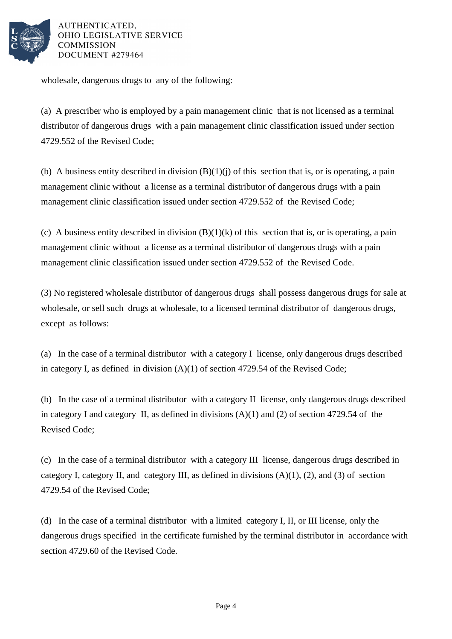

AUTHENTICATED. OHIO LEGISLATIVE SERVICE **COMMISSION** DOCUMENT #279464

wholesale, dangerous drugs to any of the following:

(a) A prescriber who is employed by a pain management clinic that is not licensed as a terminal distributor of dangerous drugs with a pain management clinic classification issued under section 4729.552 of the Revised Code;

(b) A business entity described in division  $(B)(1)(i)$  of this section that is, or is operating, a pain management clinic without a license as a terminal distributor of dangerous drugs with a pain management clinic classification issued under section 4729.552 of the Revised Code;

(c) A business entity described in division  $(B)(1)(k)$  of this section that is, or is operating, a pain management clinic without a license as a terminal distributor of dangerous drugs with a pain management clinic classification issued under section 4729.552 of the Revised Code.

(3) No registered wholesale distributor of dangerous drugs shall possess dangerous drugs for sale at wholesale, or sell such drugs at wholesale, to a licensed terminal distributor of dangerous drugs, except as follows:

(a) In the case of a terminal distributor with a category I license, only dangerous drugs described in category I, as defined in division (A)(1) of section 4729.54 of the Revised Code;

(b) In the case of a terminal distributor with a category II license, only dangerous drugs described in category I and category II, as defined in divisions (A)(1) and (2) of section 4729.54 of the Revised Code;

(c) In the case of a terminal distributor with a category III license, dangerous drugs described in category I, category II, and category III, as defined in divisions  $(A)(1)$ ,  $(2)$ , and  $(3)$  of section 4729.54 of the Revised Code;

(d) In the case of a terminal distributor with a limited category I, II, or III license, only the dangerous drugs specified in the certificate furnished by the terminal distributor in accordance with section 4729.60 of the Revised Code.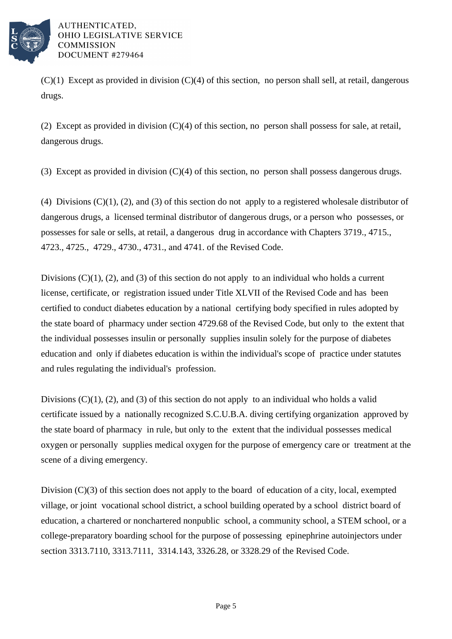

 $(C)(1)$  Except as provided in division  $(C)(4)$  of this section, no person shall sell, at retail, dangerous drugs.

(2) Except as provided in division (C)(4) of this section, no person shall possess for sale, at retail, dangerous drugs.

(3) Except as provided in division (C)(4) of this section, no person shall possess dangerous drugs.

(4) Divisions  $(C)(1)$ ,  $(2)$ , and  $(3)$  of this section do not apply to a registered wholesale distributor of dangerous drugs, a licensed terminal distributor of dangerous drugs, or a person who possesses, or possesses for sale or sells, at retail, a dangerous drug in accordance with Chapters 3719., 4715., 4723., 4725., 4729., 4730., 4731., and 4741. of the Revised Code.

Divisions  $(C)(1)$ ,  $(2)$ , and  $(3)$  of this section do not apply to an individual who holds a current license, certificate, or registration issued under Title XLVII of the Revised Code and has been certified to conduct diabetes education by a national certifying body specified in rules adopted by the state board of pharmacy under section 4729.68 of the Revised Code, but only to the extent that the individual possesses insulin or personally supplies insulin solely for the purpose of diabetes education and only if diabetes education is within the individual's scope of practice under statutes and rules regulating the individual's profession.

Divisions  $(C)(1)$ ,  $(2)$ , and  $(3)$  of this section do not apply to an individual who holds a valid certificate issued by a nationally recognized S.C.U.B.A. diving certifying organization approved by the state board of pharmacy in rule, but only to the extent that the individual possesses medical oxygen or personally supplies medical oxygen for the purpose of emergency care or treatment at the scene of a diving emergency.

Division (C)(3) of this section does not apply to the board of education of a city, local, exempted village, or joint vocational school district, a school building operated by a school district board of education, a chartered or nonchartered nonpublic school, a community school, a STEM school, or a college-preparatory boarding school for the purpose of possessing epinephrine autoinjectors under section 3313.7110, 3313.7111, 3314.143, 3326.28, or 3328.29 of the Revised Code.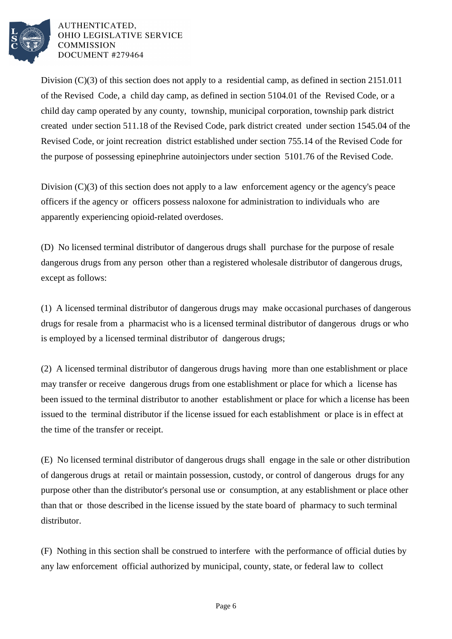

AUTHENTICATED, OHIO LEGISLATIVE SERVICE **COMMISSION** DOCUMENT #279464

Division (C)(3) of this section does not apply to a residential camp, as defined in section 2151.011 of the Revised Code, a child day camp, as defined in section 5104.01 of the Revised Code, or a child day camp operated by any county, township, municipal corporation, township park district created under section 511.18 of the Revised Code, park district created under section 1545.04 of the Revised Code, or joint recreation district established under section 755.14 of the Revised Code for the purpose of possessing epinephrine autoinjectors under section 5101.76 of the Revised Code.

Division (C)(3) of this section does not apply to a law enforcement agency or the agency's peace officers if the agency or officers possess naloxone for administration to individuals who are apparently experiencing opioid-related overdoses.

(D) No licensed terminal distributor of dangerous drugs shall purchase for the purpose of resale dangerous drugs from any person other than a registered wholesale distributor of dangerous drugs, except as follows:

(1) A licensed terminal distributor of dangerous drugs may make occasional purchases of dangerous drugs for resale from a pharmacist who is a licensed terminal distributor of dangerous drugs or who is employed by a licensed terminal distributor of dangerous drugs;

(2) A licensed terminal distributor of dangerous drugs having more than one establishment or place may transfer or receive dangerous drugs from one establishment or place for which a license has been issued to the terminal distributor to another establishment or place for which a license has been issued to the terminal distributor if the license issued for each establishment or place is in effect at the time of the transfer or receipt.

(E) No licensed terminal distributor of dangerous drugs shall engage in the sale or other distribution of dangerous drugs at retail or maintain possession, custody, or control of dangerous drugs for any purpose other than the distributor's personal use or consumption, at any establishment or place other than that or those described in the license issued by the state board of pharmacy to such terminal distributor.

(F) Nothing in this section shall be construed to interfere with the performance of official duties by any law enforcement official authorized by municipal, county, state, or federal law to collect